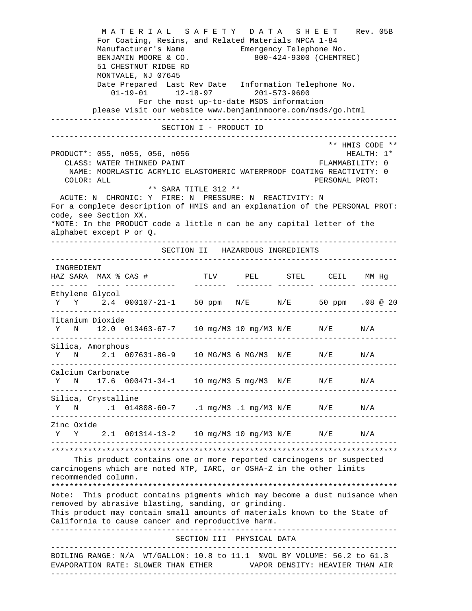M A T E R I A L S A F E T Y D A T A S H E E T Rev. 05B For Coating, Resins, and Related Materials NPCA 1-84 Manufacturer's Name Emergency Telephone No. BENJAMIN MOORE & CO. 800-424-9300 (CHEMTREC) 51 CHESTNUT RIDGE RD MONTVALE, NJ 07645 Date Prepared Last Rev Date Information Telephone No. 01-19-01 12-18-97 201-573-9600 For the most up-to-date MSDS information please visit our website www.benjaminmoore.com/msds/go.html --------------------------------------------------------------------------- SECTION I - PRODUCT ID --------------------------------------------------------------------------- \*\* HMIS CODE \*\* PRODUCT\*: 055, n055, 056, n056 HEALTH: 1\* CLASS: WATER THINNED PAINT FLAMMABILITY: 0 NAME: MOORLASTIC ACRYLIC ELASTOMERIC WATERPROOF COATING REACTIVITY: 0 COLOR: ALL PERSONAL PROT: \*\* SARA TITLE 312 \*\* ACUTE: N CHRONIC: Y FIRE: N PRESSURE: N REACTIVITY: N For a complete description of HMIS and an explanation of the PERSONAL PROT: code, see Section XX. \*NOTE: In the PRODUCT code a little n can be any capital letter of the alphabet except P or Q. --------------------------------------------------------------------------- SECTION II HAZARDOUS INGREDIENTS --------------------------------------------------------------------------- INGREDIENT HAZ SARA MAX % CAS # TLV PEL STEL CEIL MM Hg --- ---- ----- ----------- ------- -------- -------- -------- -------- Ethylene Glycol Y Y 2.4 000107-21-1 50 ppm N/E N/E 50 ppm .08 @ 20 --------------------------------------------------------------------------- Titanium Dioxide Y N 12.0 013463-67-7 10 mg/M3 10 mg/M3 N/E N/E N/A --------------------------------------------------------------------------- Silica, Amorphous Y N 2.1 007631-86-9 10 MG/M3 6 MG/M3 N/E N/E N/A --------------------------------------------------------------------------- Calcium Carbonate Y N 17.6 000471-34-1 10 mg/M3 5 mg/M3 N/E N/E N/A --------------------------------------------------------------------------- Silica, Crystalline Y N .1 014808-60-7 .1 mg/M3 .1 mg/M3 N/E N/E N/A --------------------------------------------------------------------------- Zinc Oxide Y Y 2.1 001314-13-2 10 mg/M3 10 mg/M3 N/E N/E N/A --------------------------------------------------------------------------- \*\*\*\*\*\*\*\*\*\*\*\*\*\*\*\*\*\*\*\*\*\*\*\*\*\*\*\*\*\*\*\*\*\*\*\*\*\*\*\*\*\*\*\*\*\*\*\*\*\*\*\*\*\*\*\*\*\*\*\*\*\*\*\*\*\*\*\*\*\*\*\*\*\*\* This product contains one or more reported carcinogens or suspected carcinogens which are noted NTP, IARC, or OSHA-Z in the other limits recommended column. \*\*\*\*\*\*\*\*\*\*\*\*\*\*\*\*\*\*\*\*\*\*\*\*\*\*\*\*\*\*\*\*\*\*\*\*\*\*\*\*\*\*\*\*\*\*\*\*\*\*\*\*\*\*\*\*\*\*\*\*\*\*\*\*\*\*\*\*\*\*\*\*\*\*\* Note: This product contains pigments which may become a dust nuisance when removed by abrasive blasting, sanding, or grinding. This product may contain small amounts of materials known to the State of California to cause cancer and reproductive harm. --------------------------------------------------------------------------- SECTION III PHYSICAL DATA --------------------------------------------------------------------------- BOILING RANGE: N/A WT/GALLON: 10.8 to 11.1 %VOL BY VOLUME: 56.2 to 61.3 EVAPORATION RATE: SLOWER THAN ETHER VAPOR DENSITY: HEAVIER THAN AIR ---------------------------------------------------------------------------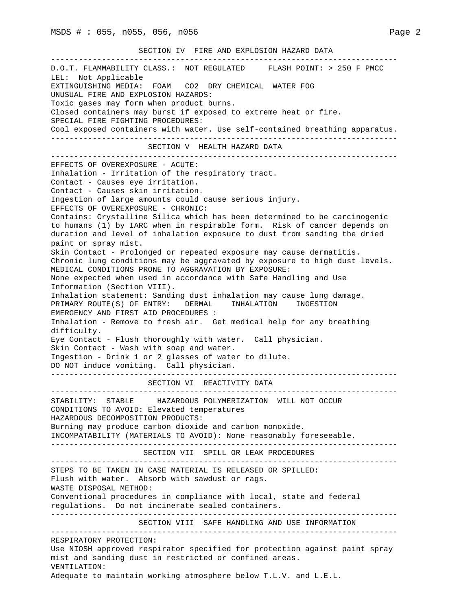|  | SECTION 3 |  |  |  | FIRE AND EXPLOSION HAZARD DATA |  |  |
|--|-----------|--|--|--|--------------------------------|--|--|
|--|-----------|--|--|--|--------------------------------|--|--|

--------------------------------------------------------------------------- D.O.T. FLAMMABILITY CLASS.: NOT REGULATED FLASH POINT: > 250 F PMCC LEL: Not Applicable EXTINGUISHING MEDIA: FOAM CO2 DRY CHEMICAL WATER FOG UNUSUAL FIRE AND EXPLOSION HAZARDS: Toxic gases may form when product burns. Closed containers may burst if exposed to extreme heat or fire. SPECIAL FIRE FIGHTING PROCEDURES: Cool exposed containers with water. Use self-contained breathing apparatus. --------------------------------------------------------------------------- SECTION V HEALTH HAZARD DATA --------------------------------------------------------------------------- EFFECTS OF OVEREXPOSURE - ACUTE: Inhalation - Irritation of the respiratory tract. Contact - Causes eye irritation. Contact - Causes skin irritation. Ingestion of large amounts could cause serious injury. EFFECTS OF OVEREXPOSURE - CHRONIC: Contains: Crystalline Silica which has been determined to be carcinogenic to humans (1) by IARC when in respirable form. Risk of cancer depends on duration and level of inhalation exposure to dust from sanding the dried paint or spray mist. Skin Contact - Prolonged or repeated exposure may cause dermatitis. Chronic lung conditions may be aggravated by exposure to high dust levels. MEDICAL CONDITIONS PRONE TO AGGRAVATION BY EXPOSURE: None expected when used in accordance with Safe Handling and Use Information (Section VIII). Inhalation statement: Sanding dust inhalation may cause lung damage. PRIMARY ROUTE(S) OF ENTRY: DERMAL INHALATION INGESTION EMERGENCY AND FIRST AID PROCEDURES : Inhalation - Remove to fresh air. Get medical help for any breathing difficulty. Eye Contact - Flush thoroughly with water. Call physician. Skin Contact - Wash with soap and water. Ingestion - Drink 1 or 2 glasses of water to dilute. DO NOT induce vomiting. Call physician. --------------------------------------------------------------------------- SECTION VI REACTIVITY DATA --------------------------------------------------------------------------- STABILITY: STABLE HAZARDOUS POLYMERIZATION WILL NOT OCCUR CONDITIONS TO AVOID: Elevated temperatures HAZARDOUS DECOMPOSITION PRODUCTS: Burning may produce carbon dioxide and carbon monoxide. INCOMPATABILITY (MATERIALS TO AVOID): None reasonably foreseeable. --------------------------------------------------------------------------- SECTION VII SPILL OR LEAK PROCEDURES --------------------------------------------------------------------------- STEPS TO BE TAKEN IN CASE MATERIAL IS RELEASED OR SPILLED: Flush with water. Absorb with sawdust or rags. WASTE DISPOSAL METHOD: Conventional procedures in compliance with local, state and federal regulations. Do not incinerate sealed containers. --------------------------------------------------------------------------- SECTION VIII SAFE HANDLING AND USE INFORMATION --------------------------------------------------------------------------- RESPIRATORY PROTECTION: Use NIOSH approved respirator specified for protection against paint spray mist and sanding dust in restricted or confined areas. VENTILATION: Adequate to maintain working atmosphere below T.L.V. and L.E.L.